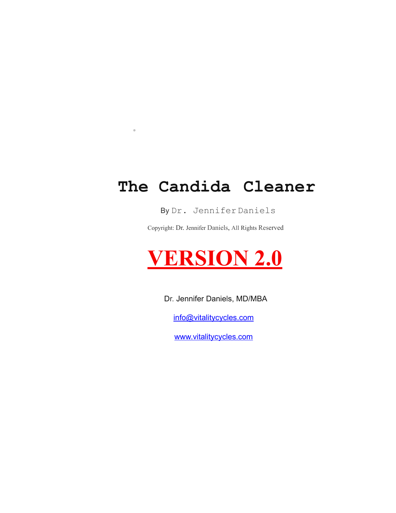# **The Candida Cleaner**

**·**

#### By Dr. JenniferDaniels

Copyright: Dr. Jennifer Daniels, All Rights Reserved

# **VERSION 2.0**

Dr. Jennifer Daniels, MD/MBA

[info@vitalitycycles.com](mailto:info@vitalitycycles.com)

[www.vitalitycycles.com](http://www.vitalitycycles.com)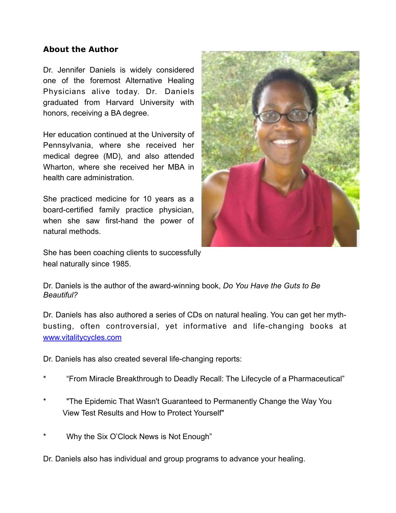#### **About the Author**

Dr. Jennifer Daniels is widely considered one of the foremost Alternative Healing Physicians alive today. Dr. Daniels graduated from Harvard University with honors, receiving a BA degree.

Her education continued at the University of Pennsylvania, where she received her medical degree (MD), and also attended Wharton, where she received her MBA in health care administration.

She practiced medicine for 10 years as a board-certified family practice physician, when she saw first-hand the power of natural methods.



She has been coaching clients to successfully heal naturally since 1985.

Dr. Daniels is the author of the award-winning book, *Do You Have the Guts to Be Beautiful?*

Dr. Daniels has also authored a series of CDs on natural healing. You can get her mythbusting, often controversial, yet informative and life-changing books at [www.vitalitycycles.com](http://www.vitalitycycles.com)

Dr. Daniels has also created several life-changing reports:

- \* "From Miracle Breakthrough to Deadly Recall: The Lifecycle of a Pharmaceutical"
- "The Epidemic That Wasn't Guaranteed to Permanently Change the Way You View Test Results and How to Protect Yourself"
- Why the Six O'Clock News is Not Enough"

Dr. Daniels also has individual and group programs to advance your healing.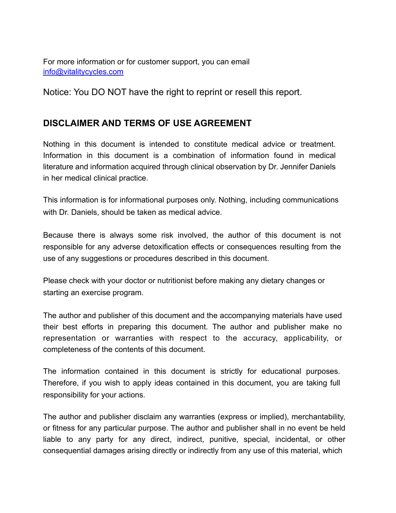For more information or for customer support, you can email [info@vitalitycycles.com](mailto:info@vitalitycycles.com)

Notice: You DO NOT have the right to reprint or resell this report.

# **DISCLAIMER AND TERMS OF USE AGREEMENT**

Nothing in this document is intended to constitute medical advice or treatment. Information in this document is a combination of information found in medical literature and information acquired through clinical observation by Dr. Jennifer Daniels in her medical clinical practice.

This information is for informational purposes only. Nothing, including communications with Dr. Daniels, should be taken as medical advice.

Because there is always some risk involved, the author of this document is not responsible for any adverse detoxification effects or consequences resulting from the use of any suggestions or procedures described in this document.

Please check with your doctor or nutritionist before making any dietary changes or starting an exercise program.

The author and publisher of this document and the accompanying materials have used their best efforts in preparing this document. The author and publisher make no representation or warranties with respect to the accuracy, applicability, or completeness of the contents of this document.

The information contained in this document is strictly for educational purposes. Therefore, if you wish to apply ideas contained in this document, you are taking full responsibility for your actions.

The author and publisher disclaim any warranties (express or implied), merchantability, or fitness for any particular purpose. The author and publisher shall in no event be held liable to any party for any direct, indirect, punitive, special, incidental, or other consequential damages arising directly or indirectly from any use of this material, which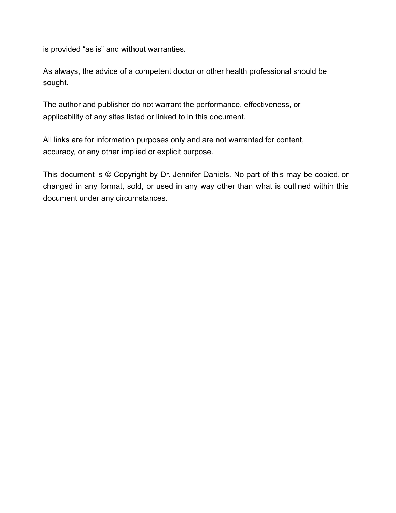is provided "as is" and without warranties.

As always, the advice of a competent doctor or other health professional should be sought.

The author and publisher do not warrant the performance, effectiveness, or applicability of any sites listed or linked to in this document.

All links are for information purposes only and are not warranted for content, accuracy, or any other implied or explicit purpose.

This document is © Copyright by Dr. Jennifer Daniels. No part of this may be copied, or changed in any format, sold, or used in any way other than what is outlined within this document under any circumstances.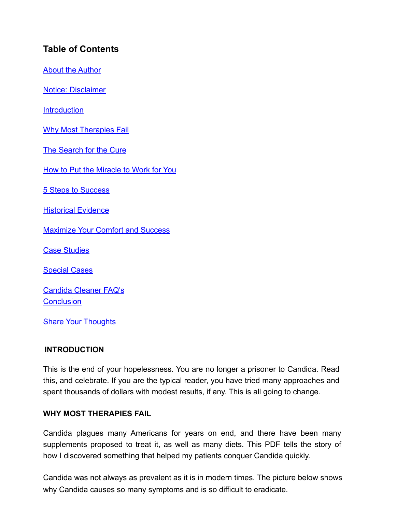# **Table of Contents**

About the Author

Notice: Disclaimer

**Introduction** 

Why Most Therapies Fail

The Search for the Cure

How to Put the Miracle to Work for You

5 Steps to Success

Historical Evidence

Maximize Your Comfort and Success

Case Studies

Special Cases

Candida Cleaner FAQ's **Conclusion** 

Share Your Thoughts

#### **INTRODUCTION**

This is the end of your hopelessness. You are no longer a prisoner to Candida. Read this, and celebrate. If you are the typical reader, you have tried many approaches and spent thousands of dollars with modest results, if any. This is all going to change.

#### **WHY MOST THERAPIES FAIL**

Candida plagues many Americans for years on end, and there have been many supplements proposed to treat it, as well as many diets. This PDF tells the story of how I discovered something that helped my patients conquer Candida quickly.

Candida was not always as prevalent as it is in modern times. The picture below shows why Candida causes so many symptoms and is so difficult to eradicate.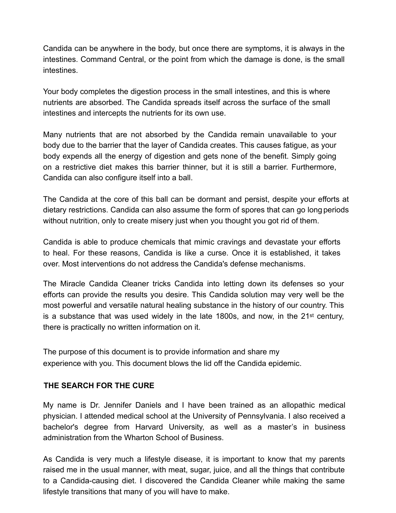Candida can be anywhere in the body, but once there are symptoms, it is always in the intestines. Command Central, or the point from which the damage is done, is the small intestines.

Your body completes the digestion process in the small intestines, and this is where nutrients are absorbed. The Candida spreads itself across the surface of the small intestines and intercepts the nutrients for its own use.

Many nutrients that are not absorbed by the Candida remain unavailable to your body due to the barrier that the layer of Candida creates. This causes fatigue, as your body expends all the energy of digestion and gets none of the benefit. Simply going on a restrictive diet makes this barrier thinner, but it is still a barrier. Furthermore, Candida can also configure itself into a ball.

The Candida at the core of this ball can be dormant and persist, despite your efforts at dietary restrictions. Candida can also assume the form of spores that can go long periods without nutrition, only to create misery just when you thought you got rid of them.

Candida is able to produce chemicals that mimic cravings and devastate your efforts to heal. For these reasons, Candida is like a curse. Once it is established, it takes over. Most interventions do not address the Candida's defense mechanisms.

The Miracle Candida Cleaner tricks Candida into letting down its defenses so your efforts can provide the results you desire. This Candida solution may very well be the most powerful and versatile natural healing substance in the history of our country. This is a substance that was used widely in the late 1800s, and now, in the 21st century, there is practically no written information on it.

The purpose of this document is to provide information and share my experience with you. This document blows the lid off the Candida epidemic.

#### **THE SEARCH FOR THE CURE**

My name is Dr. Jennifer Daniels and I have been trained as an allopathic medical physician. I attended medical school at the University of Pennsylvania. I also received a bachelor's degree from Harvard University, as well as a master's in business administration from the Wharton School of Business.

As Candida is very much a lifestyle disease, it is important to know that my parents raised me in the usual manner, with meat, sugar, juice, and all the things that contribute to a Candida-causing diet. I discovered the Candida Cleaner while making the same lifestyle transitions that many of you will have to make.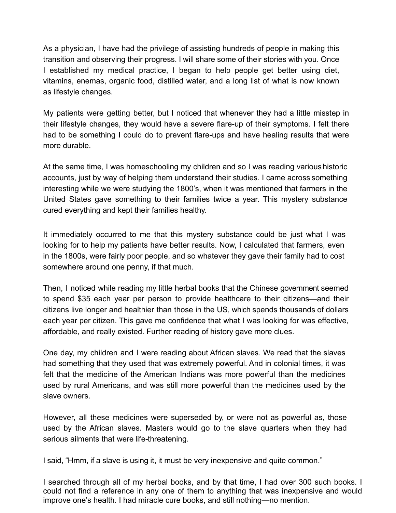As a physician, I have had the privilege of assisting hundreds of people in making this transition and observing their progress. I will share some of their stories with you. Once I established my medical practice, I began to help people get better using diet, vitamins, enemas, organic food, distilled water, and a long list of what is now known as lifestyle changes.

My patients were getting better, but I noticed that whenever they had a little misstep in their lifestyle changes, they would have a severe flare-up of their symptoms. I felt there had to be something I could do to prevent flare-ups and have healing results that were more durable.

At the same time, I was homeschooling my children and so I was reading various historic accounts, just by way of helping them understand their studies. I came across something interesting while we were studying the 1800's, when it was mentioned that farmers in the United States gave something to their families twice a year. This mystery substance cured everything and kept their families healthy.

It immediately occurred to me that this mystery substance could be just what I was looking for to help my patients have better results. Now, I calculated that farmers, even in the 1800s, were fairly poor people, and so whatever they gave their family had to cost somewhere around one penny, if that much.

Then, I noticed while reading my little herbal books that the Chinese government seemed to spend \$35 each year per person to provide healthcare to their citizens—and their citizens live longer and healthier than those in the US, which spends thousands of dollars each year per citizen. This gave me confidence that what I was looking for was effective, affordable, and really existed. Further reading of history gave more clues.

One day, my children and I were reading about African slaves. We read that the slaves had something that they used that was extremely powerful. And in colonial times, it was felt that the medicine of the American Indians was more powerful than the medicines used by rural Americans, and was still more powerful than the medicines used by the slave owners.

However, all these medicines were superseded by, or were not as powerful as, those used by the African slaves. Masters would go to the slave quarters when they had serious ailments that were life-threatening.

I said, "Hmm, if a slave is using it, it must be very inexpensive and quite common."

I searched through all of my herbal books, and by that time, I had over 300 such books. I could not find a reference in any one of them to anything that was inexpensive and would improve one's health. I had miracle cure books, and still nothing—no mention.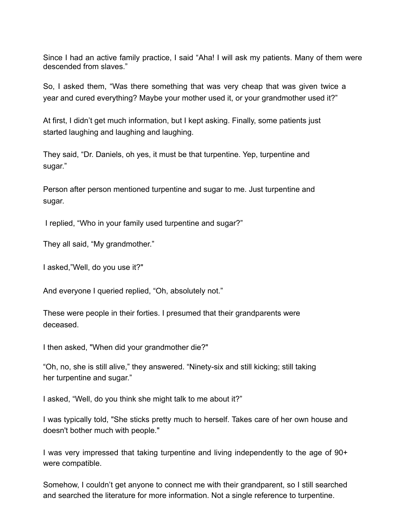Since I had an active family practice, I said "Aha! I will ask my patients. Many of them were descended from slaves."

So, I asked them, "Was there something that was very cheap that was given twice a year and cured everything? Maybe your mother used it, or your grandmother used it?"

At first, I didn't get much information, but I kept asking. Finally, some patients just started laughing and laughing and laughing.

They said, "Dr. Daniels, oh yes, it must be that turpentine. Yep, turpentine and sugar."

Person after person mentioned turpentine and sugar to me. Just turpentine and sugar.

I replied, "Who in your family used turpentine and sugar?"

They all said, "My grandmother."

I asked,"Well, do you use it?"

And everyone I queried replied, "Oh, absolutely not."

These were people in their forties. I presumed that their grandparents were deceased.

I then asked, "When did your grandmother die?"

"Oh, no, she is still alive," they answered. "Ninety-six and still kicking; still taking her turpentine and sugar."

I asked, "Well, do you think she might talk to me about it?"

I was typically told, "She sticks pretty much to herself. Takes care of her own house and doesn't bother much with people."

I was very impressed that taking turpentine and living independently to the age of 90+ were compatible.

Somehow, I couldn't get anyone to connect me with their grandparent, so I still searched and searched the literature for more information. Not a single reference to turpentine.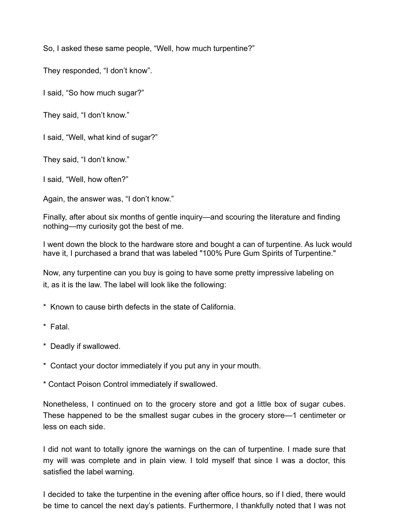So, I asked these same people, "Well, how much turpentine?"

They responded, "I don't know".

I said, "So how much sugar?"

They said, "I don't know."

I said, "Well, what kind of sugar?"

They said, "I don't know."

I said, "Well, how often?"

Again, the answer was, "I don't know."

Finally, after about six months of gentle inquiry—and scouring the literature and finding nothing—my curiosity got the best of me.

I went down the block to the hardware store and bought a can of turpentine. As luck would have it, I purchased a brand that was labeled "100% Pure Gum Spirits of Turpentine."

Now, any turpentine can you buy is going to have some pretty impressive labeling on it, as it is the law. The label will look like the following:

- \* Known to cause birth defects in the state of California.
- \* Fatal.
- \* Deadly if swallowed.
- \* Contact your doctor immediately if you put any in your mouth.
- \* Contact Poison Control immediately if swallowed.

Nonetheless, I continued on to the grocery store and got a little box of sugar cubes. These happened to be the smallest sugar cubes in the grocery store—1 centimeter or less on each side.

I did not want to totally ignore the warnings on the can of turpentine. I made sure that my will was complete and in plain view. I told myself that since I was a doctor, this satisfied the label warning.

I decided to take the turpentine in the evening after office hours, so if I died, there would be time to cancel the next day's patients. Furthermore, I thankfully noted that I was not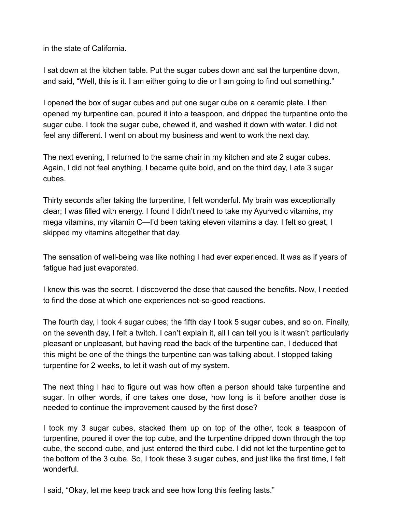in the state of California.

I sat down at the kitchen table. Put the sugar cubes down and sat the turpentine down, and said, "Well, this is it. I am either going to die or I am going to find out something."

I opened the box of sugar cubes and put one sugar cube on a ceramic plate. I then opened my turpentine can, poured it into a teaspoon, and dripped the turpentine onto the sugar cube. I took the sugar cube, chewed it, and washed it down with water. I did not feel any different. I went on about my business and went to work the next day.

The next evening, I returned to the same chair in my kitchen and ate 2 sugar cubes. Again, I did not feel anything. I became quite bold, and on the third day, I ate 3 sugar cubes.

Thirty seconds after taking the turpentine, I felt wonderful. My brain was exceptionally clear; I was filled with energy. I found I didn't need to take my Ayurvedic vitamins, my mega vitamins, my vitamin C—I'd been taking eleven vitamins a day. I felt so great, I skipped my vitamins altogether that day.

The sensation of well-being was like nothing I had ever experienced. It was as if years of fatigue had just evaporated.

I knew this was the secret. I discovered the dose that caused the benefits. Now, I needed to find the dose at which one experiences not-so-good reactions.

The fourth day, I took 4 sugar cubes; the fifth day I took 5 sugar cubes, and so on. Finally, on the seventh day, I felt a twitch. I can't explain it, all I can tell you is it wasn't particularly pleasant or unpleasant, but having read the back of the turpentine can, I deduced that this might be one of the things the turpentine can was talking about. I stopped taking turpentine for 2 weeks, to let it wash out of my system.

The next thing I had to figure out was how often a person should take turpentine and sugar. In other words, if one takes one dose, how long is it before another dose is needed to continue the improvement caused by the first dose?

I took my 3 sugar cubes, stacked them up on top of the other, took a teaspoon of turpentine, poured it over the top cube, and the turpentine dripped down through the top cube, the second cube, and just entered the third cube. I did not let the turpentine get to the bottom of the 3 cube. So, I took these 3 sugar cubes, and just like the first time, I felt wonderful.

I said, "Okay, let me keep track and see how long this feeling lasts."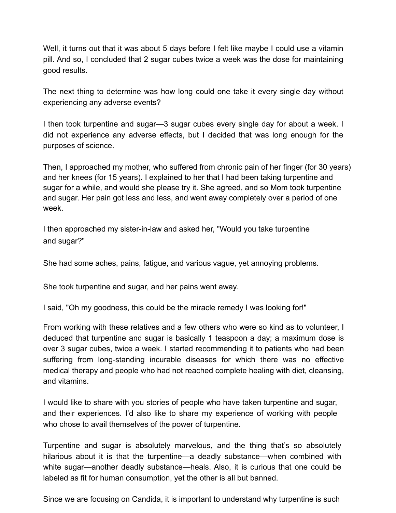Well, it turns out that it was about 5 days before I felt like maybe I could use a vitamin pill. And so, I concluded that 2 sugar cubes twice a week was the dose for maintaining good results.

The next thing to determine was how long could one take it every single day without experiencing any adverse events?

I then took turpentine and sugar—3 sugar cubes every single day for about a week. I did not experience any adverse effects, but I decided that was long enough for the purposes of science.

Then, I approached my mother, who suffered from chronic pain of her finger (for 30 years) and her knees (for 15 years). I explained to her that I had been taking turpentine and sugar for a while, and would she please try it. She agreed, and so Mom took turpentine and sugar. Her pain got less and less, and went away completely over a period of one week.

I then approached my sister-in-law and asked her, "Would you take turpentine and sugar?"

She had some aches, pains, fatigue, and various vague, yet annoying problems.

She took turpentine and sugar, and her pains went away.

I said, "Oh my goodness, this could be the miracle remedy I was looking for!"

From working with these relatives and a few others who were so kind as to volunteer, I deduced that turpentine and sugar is basically 1 teaspoon a day; a maximum dose is over 3 sugar cubes, twice a week. I started recommending it to patients who had been suffering from long-standing incurable diseases for which there was no effective medical therapy and people who had not reached complete healing with diet, cleansing, and vitamins.

I would like to share with you stories of people who have taken turpentine and sugar, and their experiences. I'd also like to share my experience of working with people who chose to avail themselves of the power of turpentine.

Turpentine and sugar is absolutely marvelous, and the thing that's so absolutely hilarious about it is that the turpentine—a deadly substance—when combined with white sugar—another deadly substance—heals. Also, it is curious that one could be labeled as fit for human consumption, yet the other is all but banned.

Since we are focusing on Candida, it is important to understand why turpentine is such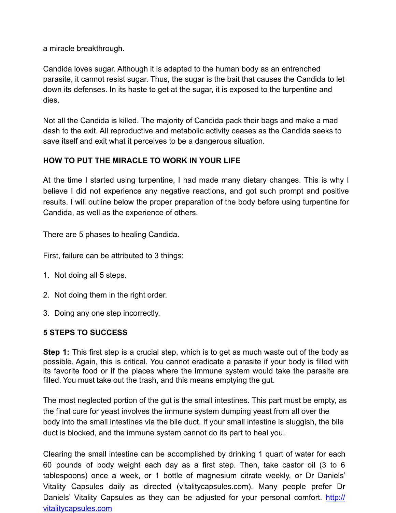a miracle breakthrough.

Candida loves sugar. Although it is adapted to the human body as an entrenched parasite, it cannot resist sugar. Thus, the sugar is the bait that causes the Candida to let down its defenses. In its haste to get at the sugar, it is exposed to the turpentine and dies.

Not all the Candida is killed. The majority of Candida pack their bags and make a mad dash to the exit. All reproductive and metabolic activity ceases as the Candida seeks to save itself and exit what it perceives to be a dangerous situation.

# **HOW TO PUT THE MIRACLE TO WORK IN YOUR LIFE**

At the time I started using turpentine, I had made many dietary changes. This is why I believe I did not experience any negative reactions, and got such prompt and positive results. I will outline below the proper preparation of the body before using turpentine for Candida, as well as the experience of others.

There are 5 phases to healing Candida.

First, failure can be attributed to 3 things:

- 1. Not doing all 5 steps.
- 2. Not doing them in the right order.
- 3. Doing any one step incorrectly.

# **5 STEPS TO SUCCESS**

**Step 1:** This first step is a crucial step, which is to get as much waste out of the body as possible. Again, this is critical. You cannot eradicate a parasite if your body is filled with its favorite food or if the places where the immune system would take the parasite are filled. You must take out the trash, and this means emptying the gut.

The most neglected portion of the gut is the small intestines. This part must be empty, as the final cure for yeast involves the immune system dumping yeast from all over the body into the small intestines via the bile duct. If your small intestine is sluggish, the bile duct is blocked, and the immune system cannot do its part to heal you.

Clearing the small intestine can be accomplished by drinking 1 quart of water for each 60 pounds of body weight each day as a first step. Then, take castor oil (3 to 6 tablespoons) once a week, or 1 bottle of magnesium citrate weekly, or Dr Daniels' Vitality Capsules daily as directed (vitalitycapsules.com). Many people prefer Dr Daniels' Vitality Capsules as they can be adjusted for your personal comfort. [http://](http://vitalitycapsules.com/) [vitalitycapsules.com](http://vitalitycapsules.com/)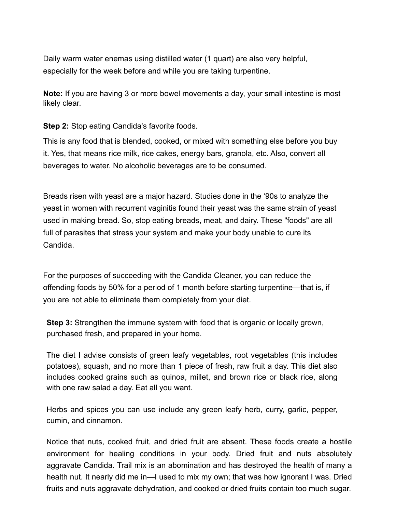Daily warm water enemas using distilled water (1 quart) are also very helpful, especially for the week before and while you are taking turpentine.

**Note:** If you are having 3 or more bowel movements a day, your small intestine is most likely clear.

**Step 2:** Stop eating Candida's favorite foods.

This is any food that is blended, cooked, or mixed with something else before you buy it. Yes, that means rice milk, rice cakes, energy bars, granola, etc. Also, convert all beverages to water. No alcoholic beverages are to be consumed.

Breads risen with yeast are a major hazard. Studies done in the '90s to analyze the yeast in women with recurrent vaginitis found their yeast was the same strain of yeast used in making bread. So, stop eating breads, meat, and dairy. These "foods" are all full of parasites that stress your system and make your body unable to cure its Candida.

For the purposes of succeeding with the Candida Cleaner, you can reduce the offending foods by 50% for a period of 1 month before starting turpentine—that is, if you are not able to eliminate them completely from your diet.

**Step 3:** Strengthen the immune system with food that is organic or locally grown, purchased fresh, and prepared in your home.

The diet I advise consists of green leafy vegetables, root vegetables (this includes potatoes), squash, and no more than 1 piece of fresh, raw fruit a day. This diet also includes cooked grains such as quinoa, millet, and brown rice or black rice, along with one raw salad a day. Eat all you want.

Herbs and spices you can use include any green leafy herb, curry, garlic, pepper, cumin, and cinnamon.

Notice that nuts, cooked fruit, and dried fruit are absent. These foods create a hostile environment for healing conditions in your body. Dried fruit and nuts absolutely aggravate Candida. Trail mix is an abomination and has destroyed the health of many a health nut. It nearly did me in—I used to mix my own; that was how ignorant I was. Dried fruits and nuts aggravate dehydration, and cooked or dried fruits contain too much sugar.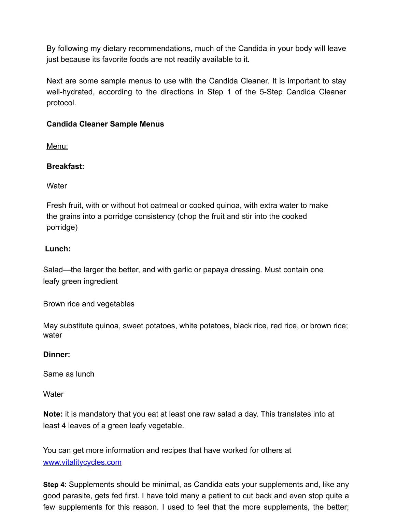By following my dietary recommendations, much of the Candida in your body will leave just because its favorite foods are not readily available to it.

Next are some sample menus to use with the Candida Cleaner. It is important to stay well-hydrated, according to the directions in Step 1 of the 5-Step Candida Cleaner protocol.

#### **Candida Cleaner Sample Menus**

Menu:

#### **Breakfast:**

**Water** 

Fresh fruit, with or without hot oatmeal or cooked quinoa, with extra water to make the grains into a porridge consistency (chop the fruit and stir into the cooked porridge)

#### **Lunch:**

Salad—the larger the better, and with garlic or papaya dressing. Must contain one leafy green ingredient

Brown rice and vegetables

May substitute quinoa, sweet potatoes, white potatoes, black rice, red rice, or brown rice; water

#### **Dinner:**

Same as lunch

**Water** 

**Note:** it is mandatory that you eat at least one raw salad a day. This translates into at least 4 leaves of a green leafy vegetable.

You can get more information and recipes that have worked for others at [www.vitalitycycles.com](http://www.vitalitycycles.com)

**Step 4:** Supplements should be minimal, as Candida eats your supplements and, like any good parasite, gets fed first. I have told many a patient to cut back and even stop quite a few supplements for this reason. I used to feel that the more supplements, the better;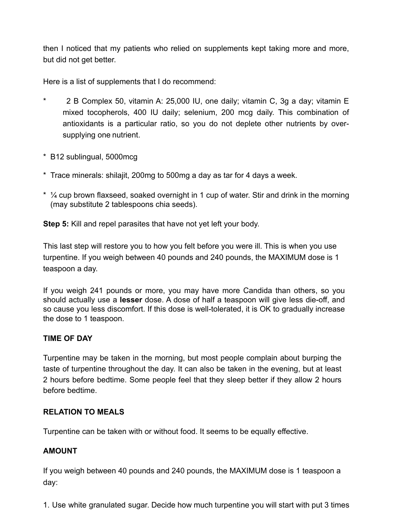then I noticed that my patients who relied on supplements kept taking more and more, but did not get better.

Here is a list of supplements that I do recommend:

- \* 2 B Complex 50, vitamin A: 25,000 IU, one daily; vitamin C, 3g a day; vitamin E mixed tocopherols, 400 IU daily; selenium, 200 mcg daily. This combination of antioxidants is a particular ratio, so you do not deplete other nutrients by oversupplying one nutrient.
- \* B12 sublingual, 5000mcg
- \* Trace minerals: shilajit, 200mg to 500mg a day as tar for 4 days a week.
- \* ¼ cup brown flaxseed, soaked overnight in 1 cup of water. Stir and drink in the morning (may substitute 2 tablespoons chia seeds).

**Step 5:** Kill and repel parasites that have not yet left your body.

This last step will restore you to how you felt before you were ill. This is when you use turpentine. If you weigh between 40 pounds and 240 pounds, the MAXIMUM dose is 1 teaspoon a day.

If you weigh 241 pounds or more, you may have more Candida than others, so you should actually use a **lesser** dose. A dose of half a teaspoon will give less die-off, and so cause you less discomfort. If this dose is well-tolerated, it is OK to gradually increase the dose to 1 teaspoon.

#### **TIME OF DAY**

Turpentine may be taken in the morning, but most people complain about burping the taste of turpentine throughout the day. It can also be taken in the evening, but at least 2 hours before bedtime. Some people feel that they sleep better if they allow 2 hours before bedtime.

#### **RELATION TO MEALS**

Turpentine can be taken with or without food. It seems to be equally effective.

#### **AMOUNT**

If you weigh between 40 pounds and 240 pounds, the MAXIMUM dose is 1 teaspoon a day:

1. Use white granulated sugar. Decide how much turpentine you will start with put 3 times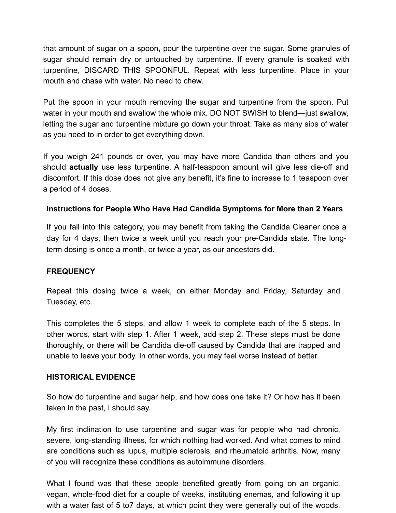that amount of sugar on a spoon, pour the turpentine over the sugar. Some granules of sugar should remain dry or untouched by turpentine. If every granule is soaked with turpentine, DISCARD THIS SPOONFUL. Repeat with less turpentine. Place in your mouth and chase with water. No need to chew.

Put the spoon in your mouth removing the sugar and turpentine from the spoon. Put water in your mouth and swallow the whole mix. DO NOT SWISH to blend—just swallow, letting the sugar and turpentine mixture go down your throat. Take as many sips of water as you need to in order to get everything down.

If you weigh 241 pounds or over, you may have more Candida than others and you should **actually** use less turpentine. A half-teaspoon amount will give less die-off and discomfort. If this dose does not give any benefit, it's fine to increase to 1 teaspoon over a period of 4 doses.

#### **Instructions for People Who Have Had Candida Symptoms for More than 2 Years**

If you fall into this category, you may benefit from taking the Candida Cleaner once a day for 4 days, then twice a week until you reach your pre-Candida state. The longterm dosing is once a month, or twice a year, as our ancestors did.

#### **FREQUENCY**

Repeat this dosing twice a week, on either Monday and Friday, Saturday and Tuesday, etc.

This completes the 5 steps, and allow 1 week to complete each of the 5 steps. In other words, start with step 1. After 1 week, add step 2. These steps must be done thoroughly, or there will be Candida die-off caused by Candida that are trapped and unable to leave your body. In other words, you may feel worse instead of better.

#### **HISTORICAL EVIDENCE**

So how do turpentine and sugar help, and how does one take it? Or how has it been taken in the past, I should say.

My first inclination to use turpentine and sugar was for people who had chronic, severe, long-standing illness, for which nothing had worked. And what comes to mind are conditions such as lupus, multiple sclerosis, and rheumatoid arthritis. Now, many of you will recognize these conditions as autoimmune disorders.

What I found was that these people benefited greatly from going on an organic, vegan, whole-food diet for a couple of weeks, instituting enemas, and following it up with a water fast of 5 to7 days, at which point they were generally out of the woods.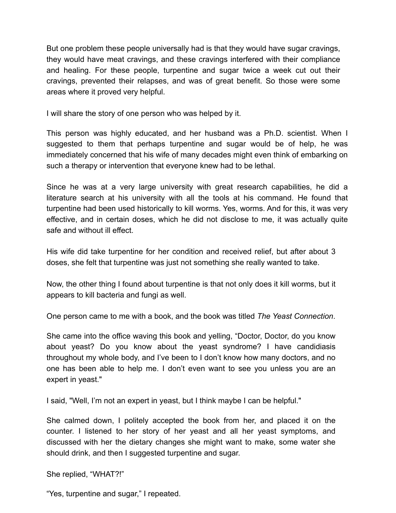But one problem these people universally had is that they would have sugar cravings, they would have meat cravings, and these cravings interfered with their compliance and healing. For these people, turpentine and sugar twice a week cut out their cravings, prevented their relapses, and was of great benefit. So those were some areas where it proved very helpful.

I will share the story of one person who was helped by it.

This person was highly educated, and her husband was a Ph.D. scientist. When I suggested to them that perhaps turpentine and sugar would be of help, he was immediately concerned that his wife of many decades might even think of embarking on such a therapy or intervention that everyone knew had to be lethal.

Since he was at a very large university with great research capabilities, he did a literature search at his university with all the tools at his command. He found that turpentine had been used historically to kill worms. Yes, worms. And for this, it was very effective, and in certain doses, which he did not disclose to me, it was actually quite safe and without ill effect.

His wife did take turpentine for her condition and received relief, but after about 3 doses, she felt that turpentine was just not something she really wanted to take.

Now, the other thing I found about turpentine is that not only does it kill worms, but it appears to kill bacteria and fungi as well.

One person came to me with a book, and the book was titled *The Yeast Connection*.

She came into the office waving this book and yelling, "Doctor, Doctor, do you know about yeast? Do you know about the yeast syndrome? I have candidiasis throughout my whole body, and I've been to I don't know how many doctors, and no one has been able to help me. I don't even want to see you unless you are an expert in yeast."

I said, "Well, I'm not an expert in yeast, but I think maybe I can be helpful."

She calmed down, I politely accepted the book from her, and placed it on the counter. I listened to her story of her yeast and all her yeast symptoms, and discussed with her the dietary changes she might want to make, some water she should drink, and then I suggested turpentine and sugar.

She replied, "WHAT?!"

"Yes, turpentine and sugar," I repeated.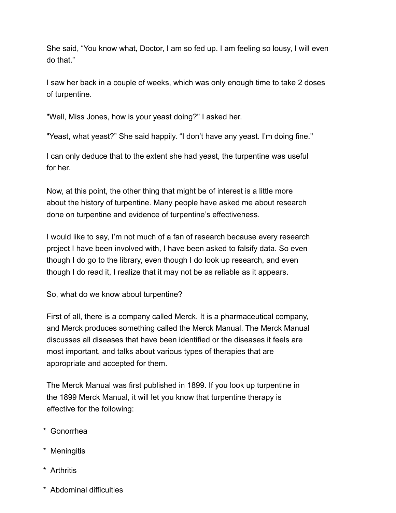She said, "You know what, Doctor, I am so fed up. I am feeling so lousy, I will even do that."

I saw her back in a couple of weeks, which was only enough time to take 2 doses of turpentine.

"Well, Miss Jones, how is your yeast doing?" I asked her.

"Yeast, what yeast?" She said happily. "I don't have any yeast. I'm doing fine."

I can only deduce that to the extent she had yeast, the turpentine was useful for her.

Now, at this point, the other thing that might be of interest is a little more about the history of turpentine. Many people have asked me about research done on turpentine and evidence of turpentine's effectiveness.

I would like to say, I'm not much of a fan of research because every research project I have been involved with, I have been asked to falsify data. So even though I do go to the library, even though I do look up research, and even though I do read it, I realize that it may not be as reliable as it appears.

So, what do we know about turpentine?

First of all, there is a company called Merck. It is a pharmaceutical company, and Merck produces something called the Merck Manual. The Merck Manual discusses all diseases that have been identified or the diseases it feels are most important, and talks about various types of therapies that are appropriate and accepted for them.

The Merck Manual was first published in 1899. If you look up turpentine in the 1899 Merck Manual, it will let you know that turpentine therapy is effective for the following:

- \* Gonorrhea
- \* Meningitis
- \* Arthritis
- \* Abdominal difficulties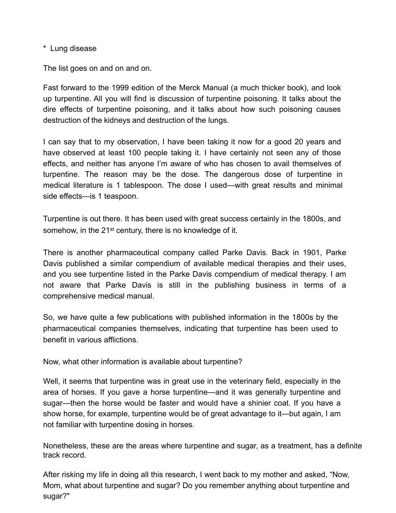\* Lung disease

The list goes on and on and on.

Fast forward to the 1999 edition of the Merck Manual (a much thicker book), and look up turpentine. All you will find is discussion of turpentine poisoning. It talks about the dire effects of turpentine poisoning, and it talks about how such poisoning causes destruction of the kidneys and destruction of the lungs.

I can say that to my observation, I have been taking it now for a good 20 years and have observed at least 100 people taking it. I have certainly not seen any of those effects, and neither has anyone I'm aware of who has chosen to avail themselves of turpentine. The reason may be the dose. The dangerous dose of turpentine in medical literature is 1 tablespoon. The dose I used—with great results and minimal side effects—is 1 teaspoon.

Turpentine is out there. It has been used with great success certainly in the 1800s, and somehow, in the 21<sup>st</sup> century, there is no knowledge of it.

There is another pharmaceutical company called Parke Davis. Back in 1901, Parke Davis published a similar compendium of available medical therapies and their uses, and you see turpentine listed in the Parke Davis compendium of medical therapy. I am not aware that Parke Davis is still in the publishing business in terms of a comprehensive medical manual.

So, we have quite a few publications with published information in the 1800s by the pharmaceutical companies themselves, indicating that turpentine has been used to benefit in various afflictions.

Now, what other information is available about turpentine?

Well, it seems that turpentine was in great use in the veterinary field, especially in the area of horses. If you gave a horse turpentine—and it was generally turpentine and sugar—then the horse would be faster and would have a shinier coat. If you have a show horse, for example, turpentine would be of great advantage to it—but again, I am not familiar with turpentine dosing in horses.

Nonetheless, these are the areas where turpentine and sugar, as a treatment, has a definite track record.

After risking my life in doing all this research, I went back to my mother and asked, "Now, Mom, what about turpentine and sugar? Do you remember anything about turpentine and sugar?"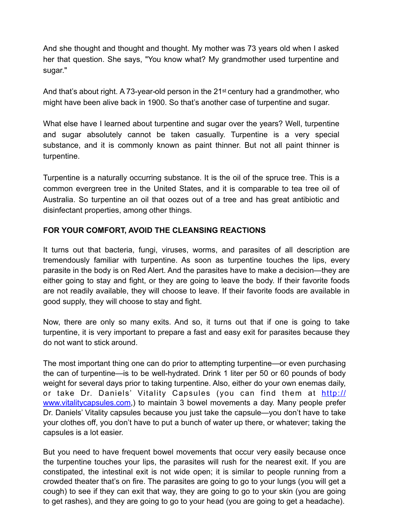And she thought and thought and thought. My mother was 73 years old when I asked her that question. She says, "You know what? My grandmother used turpentine and sugar."

And that's about right. A 73-year-old person in the 21<sup>st</sup> century had a grandmother, who might have been alive back in 1900. So that's another case of turpentine and sugar.

What else have I learned about turpentine and sugar over the years? Well, turpentine and sugar absolutely cannot be taken casually. Turpentine is a very special substance, and it is commonly known as paint thinner. But not all paint thinner is turpentine.

Turpentine is a naturally occurring substance. It is the oil of the spruce tree. This is a common evergreen tree in the United States, and it is comparable to tea tree oil of Australia. So turpentine an oil that oozes out of a tree and has great antibiotic and disinfectant properties, among other things.

#### **FOR YOUR COMFORT, AVOID THE CLEANSING REACTIONS**

It turns out that bacteria, fungi, viruses, worms, and parasites of all description are tremendously familiar with turpentine. As soon as turpentine touches the lips, every parasite in the body is on Red Alert. And the parasites have to make a decision—they are either going to stay and fight, or they are going to leave the body. If their favorite foods are not readily available, they will choose to leave. If their favorite foods are available in good supply, they will choose to stay and fight.

Now, there are only so many exits. And so, it turns out that if one is going to take turpentine, it is very important to prepare a fast and easy exit for parasites because they do not want to stick around.

The most important thing one can do prior to attempting turpentine—or even purchasing the can of turpentine—is to be well-hydrated. Drink 1 liter per 50 or 60 pounds of body weight for several days prior to taking turpentine. Also, either do your own enemas daily, or take Dr. Daniels' Vitality Capsules (you can find them at [http://](http://www.vitalitycapsules.com) [www.vitalitycapsules.com](http://www.vitalitycapsules.com),) to maintain 3 bowel movements a day. Many people prefer Dr. Daniels' Vitality capsules because you just take the capsule—you don't have to take your clothes off, you don't have to put a bunch of water up there, or whatever; taking the capsules is a lot easier.

But you need to have frequent bowel movements that occur very easily because once the turpentine touches your lips, the parasites will rush for the nearest exit. If you are constipated, the intestinal exit is not wide open; it is similar to people running from a crowded theater that's on fire. The parasites are going to go to your lungs (you will get a cough) to see if they can exit that way, they are going to go to your skin (you are going to get rashes), and they are going to go to your head (you are going to get a headache).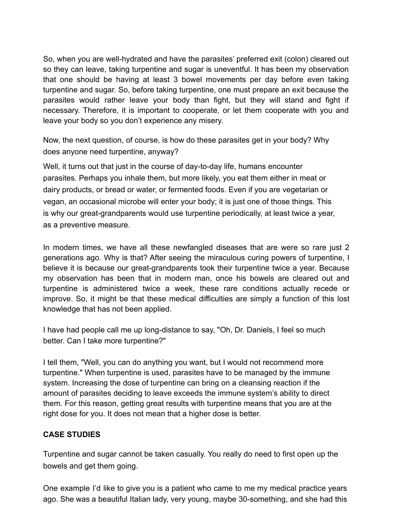So, when you are well-hydrated and have the parasites' preferred exit (colon) cleared out so they can leave, taking turpentine and sugar is uneventful. It has been my observation that one should be having at least 3 bowel movements per day before even taking turpentine and sugar. So, before taking turpentine, one must prepare an exit because the parasites would rather leave your body than fight, but they will stand and fight if necessary. Therefore, it is important to cooperate, or let them cooperate with you and leave your body so you don't experience any misery.

Now, the next question, of course, is how do these parasites get in your body? Why does anyone need turpentine, anyway?

Well, it turns out that just in the course of day-to-day life, humans encounter parasites. Perhaps you inhale them, but more likely, you eat them either in meat or dairy products, or bread or water, or fermented foods. Even if you are vegetarian or vegan, an occasional microbe will enter your body; it is just one of those things. This is why our great-grandparents would use turpentine periodically, at least twice a year, as a preventive measure.

In modern times, we have all these newfangled diseases that are were so rare just 2 generations ago. Why is that? After seeing the miraculous curing powers of turpentine, I believe it is because our great-grandparents took their turpentine twice a year. Because my observation has been that in modern man, once his bowels are cleared out and turpentine is administered twice a week, these rare conditions actually recede or improve. So, it might be that these medical difficulties are simply a function of this lost knowledge that has not been applied.

I have had people call me up long-distance to say, "Oh, Dr. Daniels, I feel so much better. Can I take more turpentine?"

I tell them, "Well, you can do anything you want, but I would not recommend more turpentine." When turpentine is used, parasites have to be managed by the immune system. Increasing the dose of turpentine can bring on a cleansing reaction if the amount of parasites deciding to leave exceeds the immune system's ability to direct them. For this reason, getting great results with turpentine means that you are at the right dose for you. It does not mean that a higher dose is better.

#### **CASE STUDIES**

Turpentine and sugar cannot be taken casually. You really do need to first open up the bowels and get them going.

One example I'd like to give you is a patient who came to me my medical practice years ago. She was a beautiful Italian lady, very young, maybe 30-something, and she had this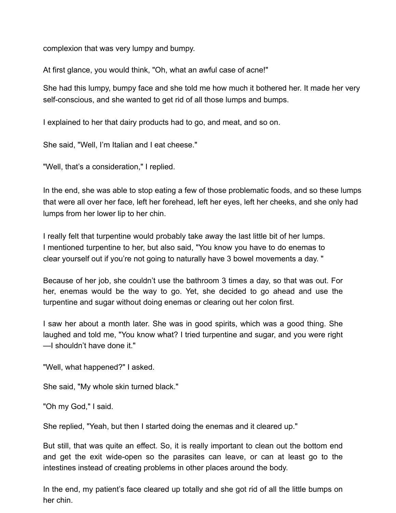complexion that was very lumpy and bumpy.

At first glance, you would think, "Oh, what an awful case of acne!"

She had this lumpy, bumpy face and she told me how much it bothered her. It made her very self-conscious, and she wanted to get rid of all those lumps and bumps.

I explained to her that dairy products had to go, and meat, and so on.

She said, "Well, I'm Italian and I eat cheese."

"Well, that's a consideration," I replied.

In the end, she was able to stop eating a few of those problematic foods, and so these lumps that were all over her face, left her forehead, left her eyes, left her cheeks, and she only had lumps from her lower lip to her chin.

I really felt that turpentine would probably take away the last little bit of her lumps. I mentioned turpentine to her, but also said, "You know you have to do enemas to clear yourself out if you're not going to naturally have 3 bowel movements a day. "

Because of her job, she couldn't use the bathroom 3 times a day, so that was out. For her, enemas would be the way to go. Yet, she decided to go ahead and use the turpentine and sugar without doing enemas or clearing out her colon first.

I saw her about a month later. She was in good spirits, which was a good thing. She laughed and told me, "You know what? I tried turpentine and sugar, and you were right —I shouldn't have done it."

"Well, what happened?" I asked.

She said, "My whole skin turned black."

"Oh my God," I said.

She replied, "Yeah, but then I started doing the enemas and it cleared up."

But still, that was quite an effect. So, it is really important to clean out the bottom end and get the exit wide-open so the parasites can leave, or can at least go to the intestines instead of creating problems in other places around the body.

In the end, my patient's face cleared up totally and she got rid of all the little bumps on her chin.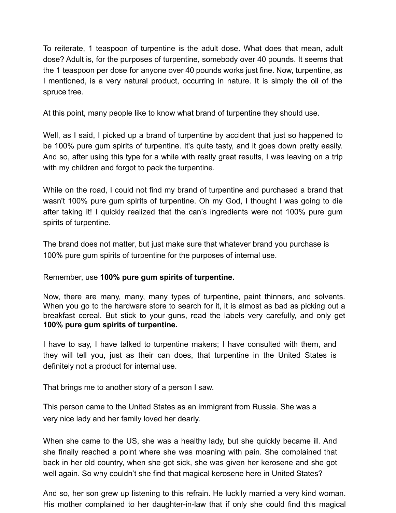To reiterate, 1 teaspoon of turpentine is the adult dose. What does that mean, adult dose? Adult is, for the purposes of turpentine, somebody over 40 pounds. It seems that the 1 teaspoon per dose for anyone over 40 pounds works just fine. Now, turpentine, as I mentioned, is a very natural product, occurring in nature. It is simply the oil of the spruce tree.

At this point, many people like to know what brand of turpentine they should use.

Well, as I said, I picked up a brand of turpentine by accident that just so happened to be 100% pure gum spirits of turpentine. It's quite tasty, and it goes down pretty easily. And so, after using this type for a while with really great results, I was leaving on a trip with my children and forgot to pack the turpentine.

While on the road, I could not find my brand of turpentine and purchased a brand that wasn't 100% pure gum spirits of turpentine. Oh my God, I thought I was going to die after taking it! I quickly realized that the can's ingredients were not 100% pure gum spirits of turpentine.

The brand does not matter, but just make sure that whatever brand you purchase is 100% pure gum spirits of turpentine for the purposes of internal use.

Remember, use **100% pure gum spirits of turpentine.**

Now, there are many, many, many types of turpentine, paint thinners, and solvents. When you go to the hardware store to search for it, it is almost as bad as picking out a breakfast cereal. But stick to your guns, read the labels very carefully, and only get **100% pure gum spirits of turpentine.**

I have to say, I have talked to turpentine makers; I have consulted with them, and they will tell you, just as their can does, that turpentine in the United States is definitely not a product for internal use.

That brings me to another story of a person I saw.

This person came to the United States as an immigrant from Russia. She was a very nice lady and her family loved her dearly.

When she came to the US, she was a healthy lady, but she quickly became ill. And she finally reached a point where she was moaning with pain. She complained that back in her old country, when she got sick, she was given her kerosene and she got well again. So why couldn't she find that magical kerosene here in United States?

And so, her son grew up listening to this refrain. He luckily married a very kind woman. His mother complained to her daughter-in-law that if only she could find this magical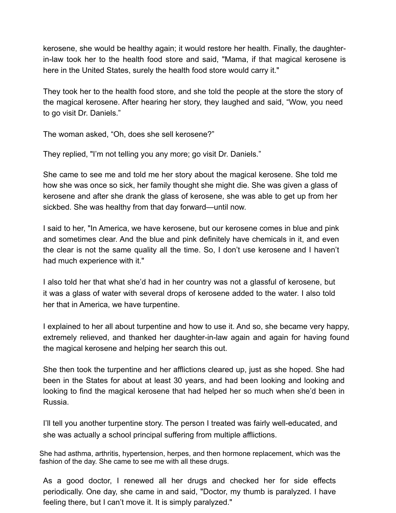kerosene, she would be healthy again; it would restore her health. Finally, the daughterin-law took her to the health food store and said, "Mama, if that magical kerosene is here in the United States, surely the health food store would carry it."

They took her to the health food store, and she told the people at the store the story of the magical kerosene. After hearing her story, they laughed and said, "Wow, you need to go visit Dr. Daniels."

The woman asked, "Oh, does she sell kerosene?"

They replied, "I'm not telling you any more; go visit Dr. Daniels."

She came to see me and told me her story about the magical kerosene. She told me how she was once so sick, her family thought she might die. She was given a glass of kerosene and after she drank the glass of kerosene, she was able to get up from her sickbed. She was healthy from that day forward—until now.

I said to her, "In America, we have kerosene, but our kerosene comes in blue and pink and sometimes clear. And the blue and pink definitely have chemicals in it, and even the clear is not the same quality all the time. So, I don't use kerosene and I haven't had much experience with it."

I also told her that what she'd had in her country was not a glassful of kerosene, but it was a glass of water with several drops of kerosene added to the water. I also told her that in America, we have turpentine.

I explained to her all about turpentine and how to use it. And so, she became very happy, extremely relieved, and thanked her daughter-in-law again and again for having found the magical kerosene and helping her search this out.

She then took the turpentine and her afflictions cleared up, just as she hoped. She had been in the States for about at least 30 years, and had been looking and looking and looking to find the magical kerosene that had helped her so much when she'd been in Russia.

I'll tell you another turpentine story. The person I treated was fairly well-educated, and she was actually a school principal suffering from multiple afflictions.

She had asthma, arthritis, hypertension, herpes, and then hormone replacement, which was the fashion of the day. She came to see me with all these drugs.

As a good doctor, I renewed all her drugs and checked her for side effects periodically. One day, she came in and said, "Doctor, my thumb is paralyzed. I have feeling there, but I can't move it. It is simply paralyzed."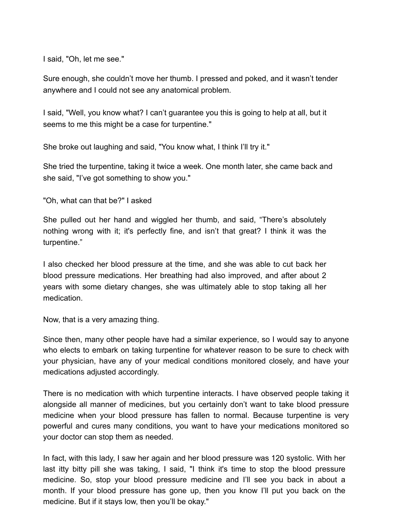I said, "Oh, let me see."

Sure enough, she couldn't move her thumb. I pressed and poked, and it wasn't tender anywhere and I could not see any anatomical problem.

I said, "Well, you know what? I can't guarantee you this is going to help at all, but it seems to me this might be a case for turpentine."

She broke out laughing and said, "You know what, I think I'll try it."

She tried the turpentine, taking it twice a week. One month later, she came back and she said, "I've got something to show you."

"Oh, what can that be?" I asked

She pulled out her hand and wiggled her thumb, and said, "There's absolutely nothing wrong with it; it's perfectly fine, and isn't that great? I think it was the turpentine."

I also checked her blood pressure at the time, and she was able to cut back her blood pressure medications. Her breathing had also improved, and after about 2 years with some dietary changes, she was ultimately able to stop taking all her medication.

Now, that is a very amazing thing.

Since then, many other people have had a similar experience, so I would say to anyone who elects to embark on taking turpentine for whatever reason to be sure to check with your physician, have any of your medical conditions monitored closely, and have your medications adjusted accordingly.

There is no medication with which turpentine interacts. I have observed people taking it alongside all manner of medicines, but you certainly don't want to take blood pressure medicine when your blood pressure has fallen to normal. Because turpentine is very powerful and cures many conditions, you want to have your medications monitored so your doctor can stop them as needed.

In fact, with this lady, I saw her again and her blood pressure was 120 systolic. With her last itty bitty pill she was taking, I said, "I think it's time to stop the blood pressure medicine. So, stop your blood pressure medicine and I'll see you back in about a month. If your blood pressure has gone up, then you know I'll put you back on the medicine. But if it stays low, then you'll be okay."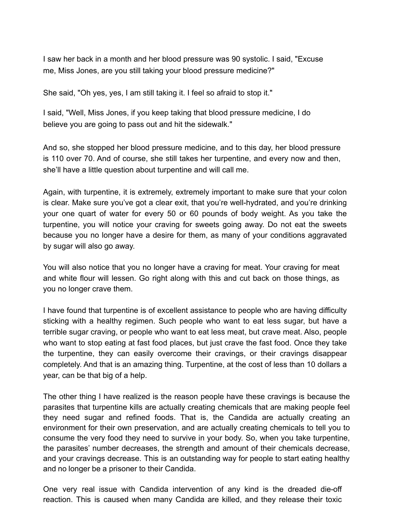I saw her back in a month and her blood pressure was 90 systolic. I said, "Excuse me, Miss Jones, are you still taking your blood pressure medicine?"

She said, "Oh yes, yes, I am still taking it. I feel so afraid to stop it."

I said, "Well, Miss Jones, if you keep taking that blood pressure medicine, I do believe you are going to pass out and hit the sidewalk."

And so, she stopped her blood pressure medicine, and to this day, her blood pressure is 110 over 70. And of course, she still takes her turpentine, and every now and then, she'll have a little question about turpentine and will call me.

Again, with turpentine, it is extremely, extremely important to make sure that your colon is clear. Make sure you've got a clear exit, that you're well-hydrated, and you're drinking your one quart of water for every 50 or 60 pounds of body weight. As you take the turpentine, you will notice your craving for sweets going away. Do not eat the sweets because you no longer have a desire for them, as many of your conditions aggravated by sugar will also go away.

You will also notice that you no longer have a craving for meat. Your craving for meat and white flour will lessen. Go right along with this and cut back on those things, as you no longer crave them.

I have found that turpentine is of excellent assistance to people who are having difficulty sticking with a healthy regimen. Such people who want to eat less sugar, but have a terrible sugar craving, or people who want to eat less meat, but crave meat. Also, people who want to stop eating at fast food places, but just crave the fast food. Once they take the turpentine, they can easily overcome their cravings, or their cravings disappear completely. And that is an amazing thing. Turpentine, at the cost of less than 10 dollars a year, can be that big of a help.

The other thing I have realized is the reason people have these cravings is because the parasites that turpentine kills are actually creating chemicals that are making people feel they need sugar and refined foods. That is, the Candida are actually creating an environment for their own preservation, and are actually creating chemicals to tell you to consume the very food they need to survive in your body. So, when you take turpentine, the parasites' number decreases, the strength and amount of their chemicals decrease, and your cravings decrease. This is an outstanding way for people to start eating healthy and no longer be a prisoner to their Candida.

One very real issue with Candida intervention of any kind is the dreaded die-off reaction. This is caused when many Candida are killed, and they release their toxic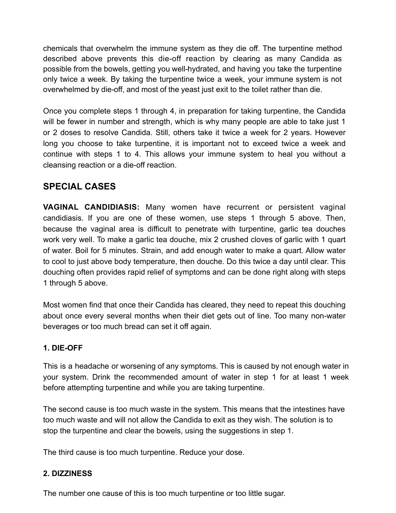chemicals that overwhelm the immune system as they die off. The turpentine method described above prevents this die-off reaction by clearing as many Candida as possible from the bowels, getting you well-hydrated, and having you take the turpentine only twice a week. By taking the turpentine twice a week, your immune system is not overwhelmed by die-off, and most of the yeast just exit to the toilet rather than die.

Once you complete steps 1 through 4, in preparation for taking turpentine, the Candida will be fewer in number and strength, which is why many people are able to take just 1 or 2 doses to resolve Candida. Still, others take it twice a week for 2 years. However long you choose to take turpentine, it is important not to exceed twice a week and continue with steps 1 to 4. This allows your immune system to heal you without a cleansing reaction or a die-off reaction.

# **SPECIAL CASES**

**VAGINAL CANDIDIASIS:** Many women have recurrent or persistent vaginal candidiasis. If you are one of these women, use steps 1 through 5 above. Then, because the vaginal area is difficult to penetrate with turpentine, garlic tea douches work very well. To make a garlic tea douche, mix 2 crushed cloves of garlic with 1 quart of water. Boil for 5 minutes. Strain, and add enough water to make a quart. Allow water to cool to just above body temperature, then douche. Do this twice a day until clear. This douching often provides rapid relief of symptoms and can be done right along with steps 1 through 5 above.

Most women find that once their Candida has cleared, they need to repeat this douching about once every several months when their diet gets out of line. Too many non-water beverages or too much bread can set it off again.

#### **1. DIE-OFF**

This is a headache or worsening of any symptoms. This is caused by not enough water in your system. Drink the recommended amount of water in step 1 for at least 1 week before attempting turpentine and while you are taking turpentine.

The second cause is too much waste in the system. This means that the intestines have too much waste and will not allow the Candida to exit as they wish. The solution is to stop the turpentine and clear the bowels, using the suggestions in step 1.

The third cause is too much turpentine. Reduce your dose.

# **2. DIZZINESS**

The number one cause of this is too much turpentine or too little sugar.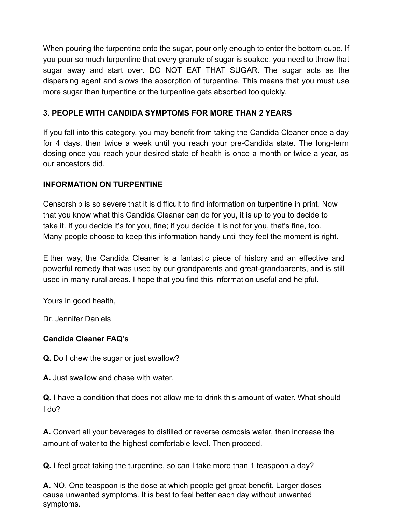When pouring the turpentine onto the sugar, pour only enough to enter the bottom cube. If you pour so much turpentine that every granule of sugar is soaked, you need to throw that sugar away and start over. DO NOT EAT THAT SUGAR. The sugar acts as the dispersing agent and slows the absorption of turpentine. This means that you must use more sugar than turpentine or the turpentine gets absorbed too quickly.

#### **3. PEOPLE WITH CANDIDA SYMPTOMS FOR MORE THAN 2 YEARS**

If you fall into this category, you may benefit from taking the Candida Cleaner once a day for 4 days, then twice a week until you reach your pre-Candida state. The long-term dosing once you reach your desired state of health is once a month or twice a year, as our ancestors did.

#### **INFORMATION ON TURPENTINE**

Censorship is so severe that it is difficult to find information on turpentine in print. Now that you know what this Candida Cleaner can do for you, it is up to you to decide to take it. If you decide it's for you, fine; if you decide it is not for you, that's fine, too. Many people choose to keep this information handy until they feel the moment is right.

Either way, the Candida Cleaner is a fantastic piece of history and an effective and powerful remedy that was used by our grandparents and great-grandparents, and is still used in many rural areas. I hope that you find this information useful and helpful.

Yours in good health,

Dr. Jennifer Daniels

#### **Candida Cleaner FAQ's**

**Q.** Do I chew the sugar or just swallow?

**A.** Just swallow and chase with water.

**Q.** I have a condition that does not allow me to drink this amount of water. What should I do?

**A.** Convert all your beverages to distilled or reverse osmosis water, then increase the amount of water to the highest comfortable level. Then proceed.

**Q.** I feel great taking the turpentine, so can I take more than 1 teaspoon a day?

**A.** NO. One teaspoon is the dose at which people get great benefit. Larger doses cause unwanted symptoms. It is best to feel better each day without unwanted symptoms.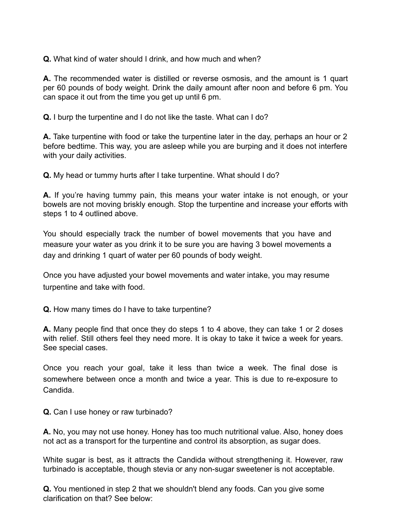**Q.** What kind of water should I drink, and how much and when?

**A.** The recommended water is distilled or reverse osmosis, and the amount is 1 quart per 60 pounds of body weight. Drink the daily amount after noon and before 6 pm. You can space it out from the time you get up until 6 pm.

**Q.** I burp the turpentine and I do not like the taste. What can I do?

**A.** Take turpentine with food or take the turpentine later in the day, perhaps an hour or 2 before bedtime. This way, you are asleep while you are burping and it does not interfere with your daily activities.

**Q.** My head or tummy hurts after I take turpentine. What should I do?

**A.** If you're having tummy pain, this means your water intake is not enough, or your bowels are not moving briskly enough. Stop the turpentine and increase your efforts with steps 1 to 4 outlined above.

You should especially track the number of bowel movements that you have and measure your water as you drink it to be sure you are having 3 bowel movements a day and drinking 1 quart of water per 60 pounds of body weight.

Once you have adjusted your bowel movements and water intake, you may resume turpentine and take with food.

**Q.** How many times do I have to take turpentine?

**A.** Many people find that once they do steps 1 to 4 above, they can take 1 or 2 doses with relief. Still others feel they need more. It is okay to take it twice a week for years. See special cases.

Once you reach your goal, take it less than twice a week. The final dose is somewhere between once a month and twice a year. This is due to re-exposure to Candida.

**Q.** Can I use honey or raw turbinado?

**A.** No, you may not use honey. Honey has too much nutritional value. Also, honey does not act as a transport for the turpentine and control its absorption, as sugar does.

White sugar is best, as it attracts the Candida without strengthening it. However, raw turbinado is acceptable, though stevia or any non-sugar sweetener is not acceptable.

**Q.** You mentioned in step 2 that we shouldn't blend any foods. Can you give some clarification on that? See below: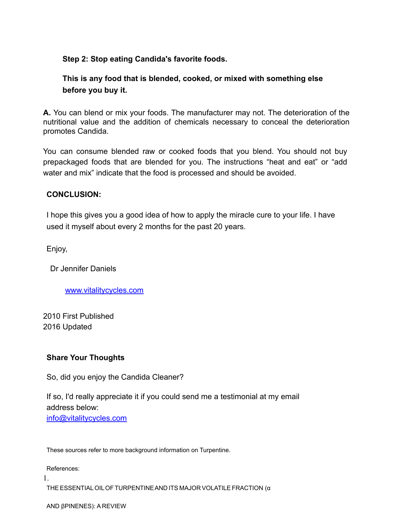#### **Step 2: Stop eating Candida's favorite foods.**

# **This is any food that is blended, cooked, or mixed with something else before you buy it.**

**A.** You can blend or mix your foods. The manufacturer may not. The deterioration of the nutritional value and the addition of chemicals necessary to conceal the deterioration promotes Candida.

You can consume blended raw or cooked foods that you blend. You should not buy prepackaged foods that are blended for you. The instructions "heat and eat" or "add water and mix" indicate that the food is processed and should be avoided.

#### **CONCLUSION:**

I hope this gives you a good idea of how to apply the miracle cure to your life. I have used it myself about every 2 months for the past 20 years.

Enjoy,

Dr Jennifer Daniels

[www.vitalitycycles.com](http://www.vitalitycycles.com)

2010 First Published 2016 Updated

#### **Share Your Thoughts**

So, did you enjoy the Candida Cleaner?

If so, I'd really appreciate it if you could send me a testimonial at my email address below: [info@vitalitycycles.com](mailto:info@vitalitycycles.com)

These sources refer to more background information on Turpentine.

References:

1.

THE ESSENTIALOILOF TURPENTINEAND ITS MAJOR VOLATILE FRACTION (α

AND βPINENES): A REVIEW